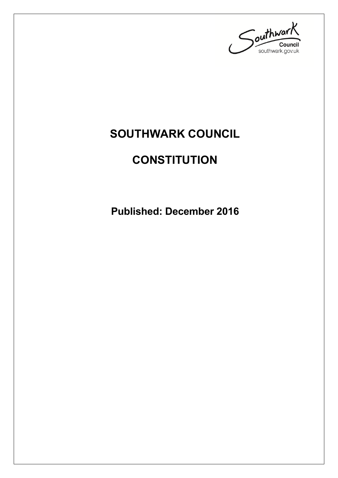

## **SOUTHWARK COUNCIL**

## **CONSTITUTION**

**Published: December 2016**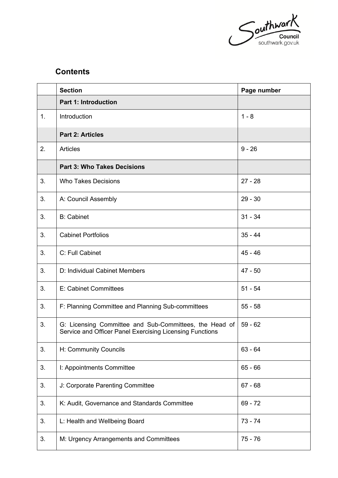

## **Contents**

|    | <b>Section</b>                                                                                                     | Page number |
|----|--------------------------------------------------------------------------------------------------------------------|-------------|
|    | <b>Part 1: Introduction</b>                                                                                        |             |
| 1. | Introduction                                                                                                       | $1 - 8$     |
|    | <b>Part 2: Articles</b>                                                                                            |             |
| 2. | <b>Articles</b>                                                                                                    | $9 - 26$    |
|    | <b>Part 3: Who Takes Decisions</b>                                                                                 |             |
| 3. | <b>Who Takes Decisions</b>                                                                                         | $27 - 28$   |
| 3. | A: Council Assembly                                                                                                | $29 - 30$   |
| 3. | <b>B:</b> Cabinet                                                                                                  | $31 - 34$   |
| 3. | <b>Cabinet Portfolios</b>                                                                                          | $35 - 44$   |
| 3. | C: Full Cabinet                                                                                                    | $45 - 46$   |
| 3. | D: Individual Cabinet Members                                                                                      | $47 - 50$   |
| 3. | E: Cabinet Committees                                                                                              | $51 - 54$   |
| 3. | F: Planning Committee and Planning Sub-committees                                                                  | $55 - 58$   |
| 3. | G: Licensing Committee and Sub-Committees, the Head of<br>Service and Officer Panel Exercising Licensing Functions | $59 - 62$   |
| 3. | H: Community Councils                                                                                              | $63 - 64$   |
| 3. | I: Appointments Committee                                                                                          | $65 - 66$   |
| 3. | J: Corporate Parenting Committee                                                                                   | $67 - 68$   |
| 3. | K: Audit, Governance and Standards Committee                                                                       | $69 - 72$   |
| 3. | L: Health and Wellbeing Board                                                                                      | $73 - 74$   |
| 3. | M: Urgency Arrangements and Committees                                                                             | $75 - 76$   |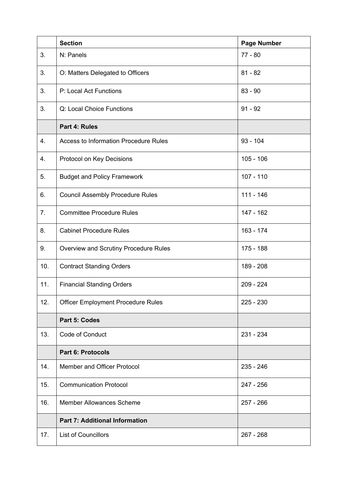|     | <b>Section</b>                               | <b>Page Number</b> |
|-----|----------------------------------------------|--------------------|
| 3.  | N: Panels                                    | $77 - 80$          |
| 3.  | O: Matters Delegated to Officers             | $81 - 82$          |
| 3.  | P: Local Act Functions                       | $83 - 90$          |
| 3.  | Q: Local Choice Functions                    | $91 - 92$          |
|     | Part 4: Rules                                |                    |
| 4.  | <b>Access to Information Procedure Rules</b> | $93 - 104$         |
| 4.  | Protocol on Key Decisions                    | $105 - 106$        |
| 5.  | <b>Budget and Policy Framework</b>           | $107 - 110$        |
| 6.  | <b>Council Assembly Procedure Rules</b>      | $111 - 146$        |
| 7.  | <b>Committee Procedure Rules</b>             | 147 - 162          |
| 8.  | <b>Cabinet Procedure Rules</b>               | $163 - 174$        |
| 9.  | Overview and Scrutiny Procedure Rules        | $175 - 188$        |
| 10. | <b>Contract Standing Orders</b>              | 189 - 208          |
| 11. | <b>Financial Standing Orders</b>             | $209 - 224$        |
| 12. | <b>Officer Employment Procedure Rules</b>    | $225 - 230$        |
|     | Part 5: Codes                                |                    |
| 13. | Code of Conduct                              | 231 - 234          |
|     | <b>Part 6: Protocols</b>                     |                    |
| 14. | Member and Officer Protocol                  | $235 - 246$        |
| 15. | <b>Communication Protocol</b>                | 247 - 256          |
| 16. | <b>Member Allowances Scheme</b>              | $257 - 266$        |
|     | <b>Part 7: Additional Information</b>        |                    |
| 17. | <b>List of Councillors</b>                   | $267 - 268$        |